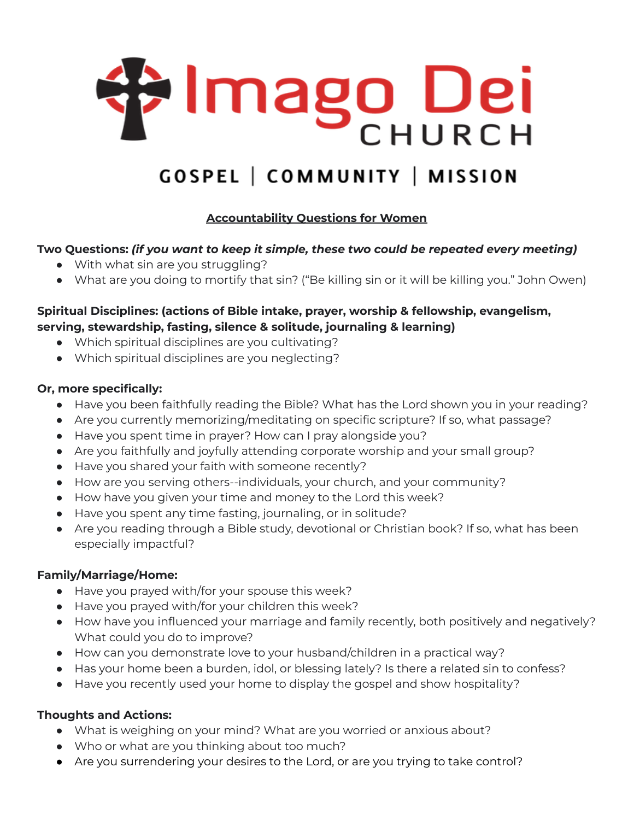

# **GOSPEL | COMMUNITY | MISSION**

## **Accountability Questions for Women**

#### **Two Questions:** *(if you want to keep it simple, these two could be repeated every meeting)*

- With what sin are you struggling?
- What are you doing to mortify that sin? ("Be killing sin or it will be killing you." John Owen)

## **Spiritual Disciplines: (actions of Bible intake, prayer, worship & fellowship, evangelism, serving, stewardship, fasting, silence & solitude, journaling & learning)**

- Which spiritual disciplines are you cultivating?
- Which spiritual disciplines are you neglecting?

#### **Or, more specifically:**

- Have you been faithfully reading the Bible? What has the Lord shown you in your reading?
- Are you currently memorizing/meditating on specific scripture? If so, what passage?
- Have you spent time in prayer? How can I pray alongside you?
- Are you faithfully and joyfully attending corporate worship and your small group?
- Have you shared your faith with someone recently?
- How are you serving others--individuals, your church, and your community?
- How have you given your time and money to the Lord this week?
- Have you spent any time fasting, journaling, or in solitude?
- Are you reading through a Bible study, devotional or Christian book? If so, what has been especially impactful?

#### **Family/Marriage/Home:**

- Have you prayed with/for your spouse this week?
- Have you prayed with/for your children this week?
- How have you influenced your marriage and family recently, both positively and negatively? What could you do to improve?
- How can you demonstrate love to your husband/children in a practical way?
- Has your home been a burden, idol, or blessing lately? Is there a related sin to confess?
- Have you recently used your home to display the gospel and show hospitality?

## **Thoughts and Actions:**

- What is weighing on your mind? What are you worried or anxious about?
- Who or what are you thinking about too much?
- Are you surrendering your desires to the Lord, or are you trying to take control?